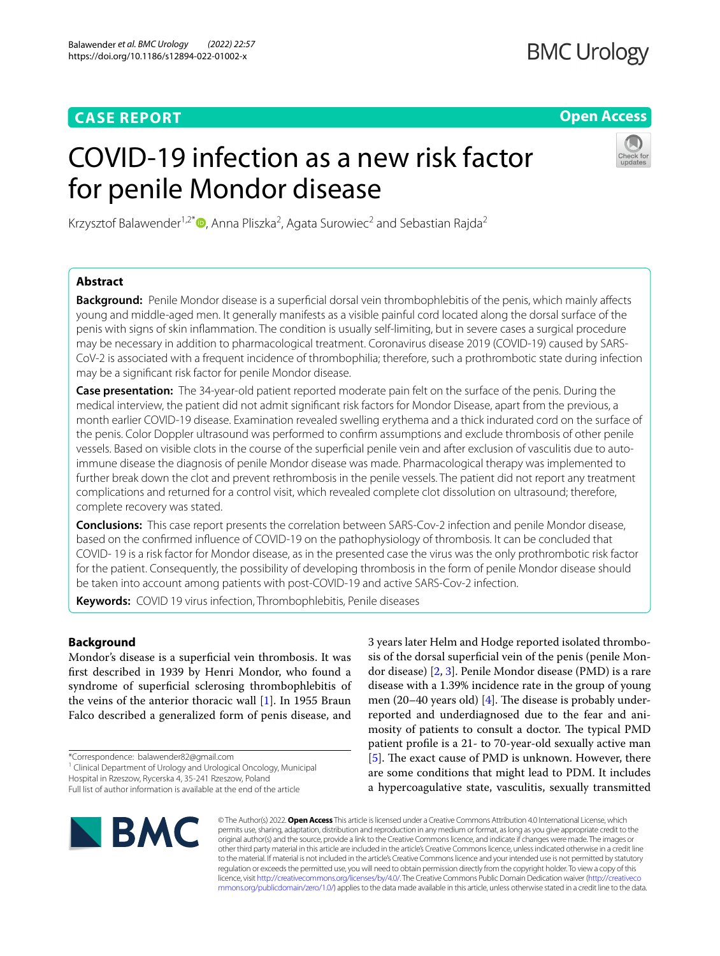## **CASE REPORT**

**Open Access**

# COVID-19 infection as a new risk factor for penile Mondor disease



Krzysztof Balawender<sup>1,2[\\*](http://orcid.org/0000-0002-8706-1927)</sup>®, Anna Pliszka<sup>2</sup>, Agata Surowiec<sup>2</sup> and Sebastian Rajda<sup>2</sup>

## **Abstract**

**Background:** Penile Mondor disease is a superficial dorsal vein thrombophlebitis of the penis, which mainly affects young and middle-aged men. It generally manifests as a visible painful cord located along the dorsal surface of the penis with signs of skin infammation. The condition is usually self-limiting, but in severe cases a surgical procedure may be necessary in addition to pharmacological treatment. Coronavirus disease 2019 (COVID-19) caused by SARS-CoV-2 is associated with a frequent incidence of thrombophilia; therefore, such a prothrombotic state during infection may be a signifcant risk factor for penile Mondor disease.

**Case presentation:** The 34-year-old patient reported moderate pain felt on the surface of the penis. During the medical interview, the patient did not admit signifcant risk factors for Mondor Disease, apart from the previous, a month earlier COVID-19 disease. Examination revealed swelling erythema and a thick indurated cord on the surface of the penis. Color Doppler ultrasound was performed to confrm assumptions and exclude thrombosis of other penile vessels. Based on visible clots in the course of the superfcial penile vein and after exclusion of vasculitis due to autoimmune disease the diagnosis of penile Mondor disease was made. Pharmacological therapy was implemented to further break down the clot and prevent rethrombosis in the penile vessels. The patient did not report any treatment complications and returned for a control visit, which revealed complete clot dissolution on ultrasound; therefore, complete recovery was stated.

**Conclusions:** This case report presents the correlation between SARS-Cov-2 infection and penile Mondor disease, based on the confrmed infuence of COVID-19 on the pathophysiology of thrombosis. It can be concluded that COVID- 19 is a risk factor for Mondor disease, as in the presented case the virus was the only prothrombotic risk factor for the patient. Consequently, the possibility of developing thrombosis in the form of penile Mondor disease should be taken into account among patients with post-COVID-19 and active SARS-Cov-2 infection.

**Keywords:** COVID 19 virus infection, Thrombophlebitis, Penile diseases

## **Background**

Mondor's disease is a superficial vein thrombosis. It was frst described in 1939 by Henri Mondor, who found a syndrome of superficial sclerosing thrombophlebitis of the veins of the anterior thoracic wall [\[1](#page-4-0)]. In 1955 Braun Falco described a generalized form of penis disease, and

\*Correspondence: balawender82@gmail.com

3 years later Helm and Hodge reported isolated thrombosis of the dorsal superfcial vein of the penis (penile Mondor disease) [\[2](#page-4-1), [3\]](#page-4-2). Penile Mondor disease (PMD) is a rare disease with a 1.39% incidence rate in the group of young men (20–40 years old) [[4\]](#page-4-3). The disease is probably underreported and underdiagnosed due to the fear and animosity of patients to consult a doctor. The typical PMD patient profle is a 21- to 70-year-old sexually active man [[5\]](#page-4-4). The exact cause of PMD is unknown. However, there are some conditions that might lead to PDM. It includes a hypercoagulative state, vasculitis, sexually transmitted



© The Author(s) 2022. **Open Access** This article is licensed under a Creative Commons Attribution 4.0 International License, which permits use, sharing, adaptation, distribution and reproduction in any medium or format, as long as you give appropriate credit to the original author(s) and the source, provide a link to the Creative Commons licence, and indicate if changes were made. The images or other third party material in this article are included in the article's Creative Commons licence, unless indicated otherwise in a credit line to the material. If material is not included in the article's Creative Commons licence and your intended use is not permitted by statutory regulation or exceeds the permitted use, you will need to obtain permission directly from the copyright holder. To view a copy of this licence, visit [http://creativecommons.org/licenses/by/4.0/.](http://creativecommons.org/licenses/by/4.0/) The Creative Commons Public Domain Dedication waiver ([http://creativeco](http://creativecommons.org/publicdomain/zero/1.0/) [mmons.org/publicdomain/zero/1.0/](http://creativecommons.org/publicdomain/zero/1.0/)) applies to the data made available in this article, unless otherwise stated in a credit line to the data.

<sup>&</sup>lt;sup>1</sup> Clinical Department of Urology and Urological Oncology, Municipal Hospital in Rzeszow, Rycerska 4, 35-241 Rzeszow, Poland

Full list of author information is available at the end of the article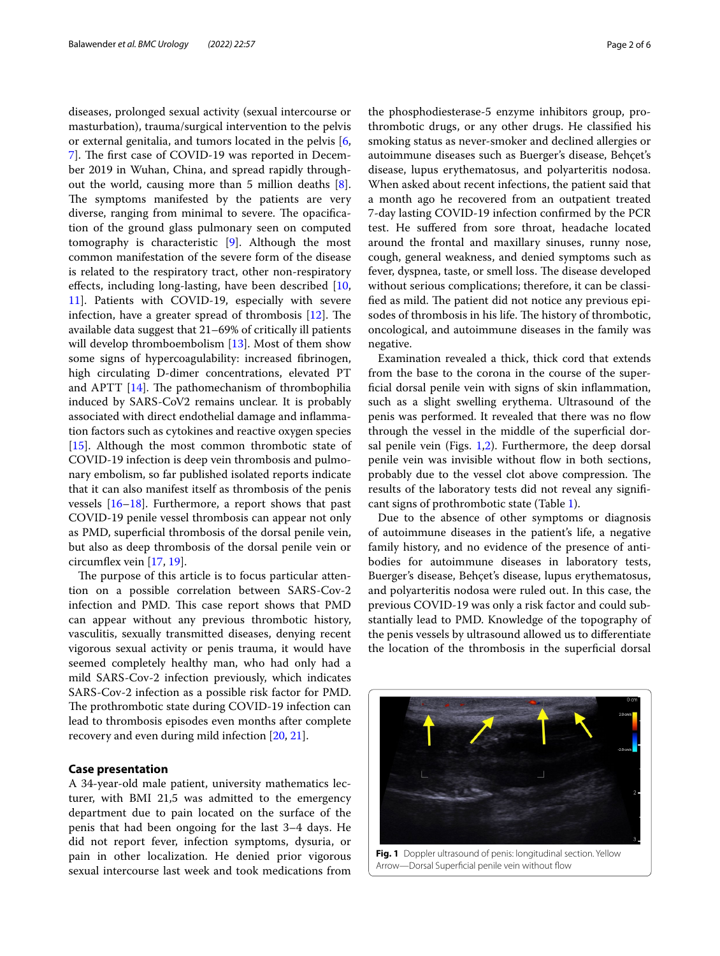diseases, prolonged sexual activity (sexual intercourse or masturbation), trauma/surgical intervention to the pelvis or external genitalia, and tumors located in the pelvis [\[6](#page-4-5), [7\]](#page-4-6). The first case of COVID-19 was reported in December 2019 in Wuhan, China, and spread rapidly throughout the world, causing more than 5 million deaths [\[8](#page-4-7)]. The symptoms manifested by the patients are very diverse, ranging from minimal to severe. The opacification of the ground glass pulmonary seen on computed tomography is characteristic [[9\]](#page-4-8). Although the most common manifestation of the severe form of the disease is related to the respiratory tract, other non-respiratory efects, including long-lasting, have been described [\[10](#page-4-9), [11\]](#page-4-10). Patients with COVID-19, especially with severe infection, have a greater spread of thrombosis  $[12]$  $[12]$ . The available data suggest that 21–69% of critically ill patients will develop thromboembolism [[13\]](#page-4-12). Most of them show some signs of hypercoagulability: increased fbrinogen, high circulating D-dimer concentrations, elevated PT and APTT  $[14]$ . The pathomechanism of thrombophilia induced by SARS-CoV2 remains unclear. It is probably associated with direct endothelial damage and infammation factors such as cytokines and reactive oxygen species [[15\]](#page-4-14). Although the most common thrombotic state of COVID-19 infection is deep vein thrombosis and pulmonary embolism, so far published isolated reports indicate that it can also manifest itself as thrombosis of the penis vessels [[16](#page-4-15)[–18](#page-4-16)]. Furthermore, a report shows that past COVID-19 penile vessel thrombosis can appear not only as PMD, superfcial thrombosis of the dorsal penile vein, but also as deep thrombosis of the dorsal penile vein or circumfex vein [\[17,](#page-4-17) [19](#page-4-18)].

The purpose of this article is to focus particular attention on a possible correlation between SARS-Cov-2 infection and PMD. This case report shows that PMD can appear without any previous thrombotic history, vasculitis, sexually transmitted diseases, denying recent vigorous sexual activity or penis trauma, it would have seemed completely healthy man, who had only had a mild SARS-Cov-2 infection previously, which indicates SARS-Cov-2 infection as a possible risk factor for PMD. The prothrombotic state during COVID-19 infection can lead to thrombosis episodes even months after complete recovery and even during mild infection [[20,](#page-4-19) [21](#page-4-20)].

### **Case presentation**

A 34-year-old male patient, university mathematics lecturer, with BMI 21,5 was admitted to the emergency department due to pain located on the surface of the penis that had been ongoing for the last 3–4 days. He did not report fever, infection symptoms, dysuria, or pain in other localization. He denied prior vigorous sexual intercourse last week and took medications from

the phosphodiesterase-5 enzyme inhibitors group, prothrombotic drugs, or any other drugs. He classifed his smoking status as never-smoker and declined allergies or autoimmune diseases such as Buerger's disease, Behçet's disease, lupus erythematosus, and polyarteritis nodosa. When asked about recent infections, the patient said that a month ago he recovered from an outpatient treated 7-day lasting COVID-19 infection confrmed by the PCR test. He sufered from sore throat, headache located around the frontal and maxillary sinuses, runny nose, cough, general weakness, and denied symptoms such as fever, dyspnea, taste, or smell loss. The disease developed without serious complications; therefore, it can be classified as mild. The patient did not notice any previous episodes of thrombosis in his life. The history of thrombotic, oncological, and autoimmune diseases in the family was negative.

Examination revealed a thick, thick cord that extends from the base to the corona in the course of the superfcial dorsal penile vein with signs of skin infammation, such as a slight swelling erythema. Ultrasound of the penis was performed. It revealed that there was no fow through the vessel in the middle of the superfcial dorsal penile vein (Figs.  $1,2$  $1,2$ ). Furthermore, the deep dorsal penile vein was invisible without flow in both sections, probably due to the vessel clot above compression. The results of the laboratory tests did not reveal any signifcant signs of prothrombotic state (Table [1\)](#page-2-1).

Due to the absence of other symptoms or diagnosis of autoimmune diseases in the patient's life, a negative family history, and no evidence of the presence of antibodies for autoimmune diseases in laboratory tests, Buerger's disease, Behçet's disease, lupus erythematosus, and polyarteritis nodosa were ruled out. In this case, the previous COVID-19 was only a risk factor and could substantially lead to PMD. Knowledge of the topography of the penis vessels by ultrasound allowed us to diferentiate the location of the thrombosis in the superfcial dorsal



<span id="page-1-0"></span>Arrow-Dorsal Superficial penile vein without flow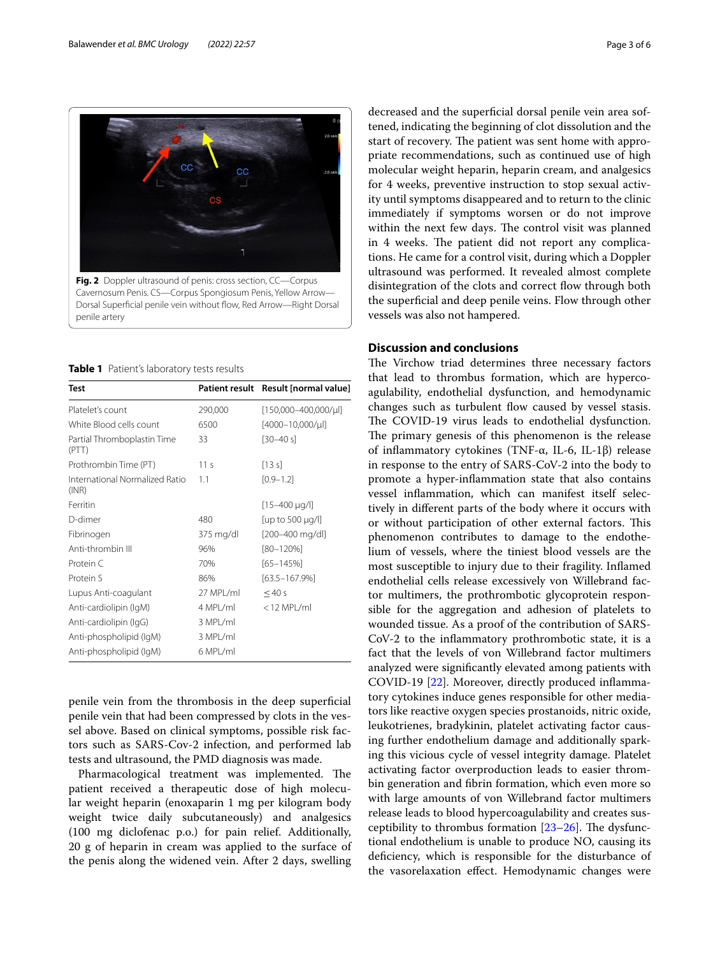

<span id="page-2-0"></span>Cavernosum Penis. CS—Corpus Spongiosum Penis, Yellow Arrow— Dorsal Superficial penile vein without flow, Red Arrow-Right Dorsal penile artery

<span id="page-2-1"></span>

| Table 1 Patient's laboratory tests results |  |
|--------------------------------------------|--|
|--------------------------------------------|--|

| <b>Test</b>                             |                 | Patient result Result [normal value] |
|-----------------------------------------|-----------------|--------------------------------------|
| Platelet's count                        | 290,000         | $[150,000 - 400,000/\mu]$            |
| White Blood cells count                 | 6500            | [4000-10,000/µ]                      |
| Partial Thromboplastin Time<br>(PTT)    | 33              | $[30 - 40 s]$                        |
| Prothrombin Time (PT)                   | 11 <sub>s</sub> | [13 s]                               |
| International Normalized Ratio<br>(INR) | 1.1             | $[0.9 - 1.2]$                        |
| Ferritin                                |                 | $[15 - 400 \mu q/l]$                 |
| D-dimer                                 | 480             | [up to 500 $\mu$ g/l]                |
| Fibrinogen                              | 375 mg/dl       | [200–400 mg/dl]                      |
| Anti-thrombin III                       | 96%             | $[80 - 120\%]$                       |
| Protein C                               | 70%             | $[65 - 145\%]$                       |
| Protein S                               | 86%             | $[63.5 - 167.9%]$                    |
| Lupus Anti-coagulant                    | 27 MPL/ml       | $<$ 40 s                             |
| Anti-cardiolipin (IgM)                  | 4 MPL/ml        | $<$ 12 MPL/ml                        |
| Anti-cardiolipin (IgG)                  | 3 MPL/ml        |                                      |
| Anti-phospholipid (IgM)                 | 3 MPL/ml        |                                      |
| Anti-phospholipid (IqM)                 | 6 MPL/ml        |                                      |

penile vein from the thrombosis in the deep superfcial penile vein that had been compressed by clots in the vessel above. Based on clinical symptoms, possible risk factors such as SARS-Cov-2 infection, and performed lab tests and ultrasound, the PMD diagnosis was made.

Pharmacological treatment was implemented. The patient received a therapeutic dose of high molecular weight heparin (enoxaparin 1 mg per kilogram body weight twice daily subcutaneously) and analgesics (100 mg diclofenac p.o.) for pain relief. Additionally, 20 g of heparin in cream was applied to the surface of the penis along the widened vein. After 2 days, swelling

decreased and the superficial dorsal penile vein area softened, indicating the beginning of clot dissolution and the start of recovery. The patient was sent home with appropriate recommendations, such as continued use of high molecular weight heparin, heparin cream, and analgesics for 4 weeks, preventive instruction to stop sexual activity until symptoms disappeared and to return to the clinic immediately if symptoms worsen or do not improve within the next few days. The control visit was planned in 4 weeks. The patient did not report any complications. He came for a control visit, during which a Doppler ultrasound was performed. It revealed almost complete disintegration of the clots and correct fow through both the superfcial and deep penile veins. Flow through other vessels was also not hampered.

## **Discussion and conclusions**

The Virchow triad determines three necessary factors that lead to thrombus formation, which are hypercoagulability, endothelial dysfunction, and hemodynamic changes such as turbulent flow caused by vessel stasis. The COVID-19 virus leads to endothelial dysfunction. The primary genesis of this phenomenon is the release of infammatory cytokines (TNF-α, IL-6, IL-1β) release in response to the entry of SARS-CoV-2 into the body to promote a hyper-infammation state that also contains vessel infammation, which can manifest itself selectively in diferent parts of the body where it occurs with or without participation of other external factors. This phenomenon contributes to damage to the endothelium of vessels, where the tiniest blood vessels are the most susceptible to injury due to their fragility. Infamed endothelial cells release excessively von Willebrand factor multimers, the prothrombotic glycoprotein responsible for the aggregation and adhesion of platelets to wounded tissue. As a proof of the contribution of SARS-CoV-2 to the infammatory prothrombotic state, it is a fact that the levels of von Willebrand factor multimers analyzed were signifcantly elevated among patients with COVID-19 [\[22](#page-4-21)]. Moreover, directly produced infammatory cytokines induce genes responsible for other mediators like reactive oxygen species prostanoids, nitric oxide, leukotrienes, bradykinin, platelet activating factor causing further endothelium damage and additionally sparking this vicious cycle of vessel integrity damage. Platelet activating factor overproduction leads to easier thrombin generation and fbrin formation, which even more so with large amounts of von Willebrand factor multimers release leads to blood hypercoagulability and creates susceptibility to thrombus formation  $[23-26]$  $[23-26]$  $[23-26]$ . The dysfunctional endothelium is unable to produce NO, causing its defciency, which is responsible for the disturbance of the vasorelaxation efect. Hemodynamic changes were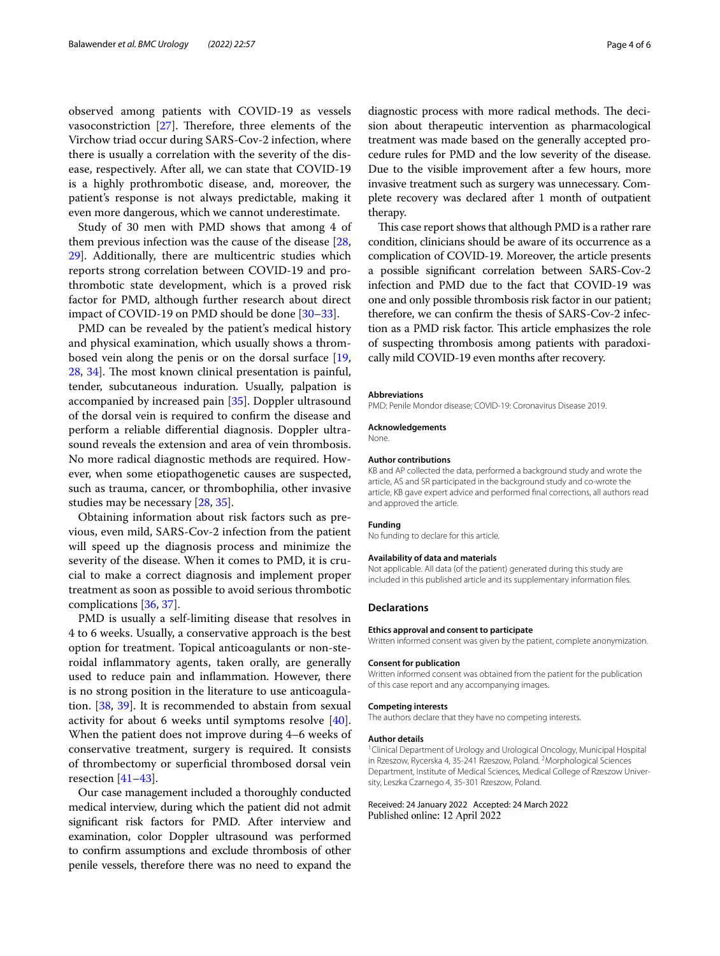observed among patients with COVID-19 as vessels vasoconstriction  $[27]$ . Therefore, three elements of the Virchow triad occur during SARS-Cov-2 infection, where there is usually a correlation with the severity of the disease, respectively. After all, we can state that COVID-19 is a highly prothrombotic disease, and, moreover, the patient's response is not always predictable, making it even more dangerous, which we cannot underestimate.

Study of 30 men with PMD shows that among 4 of them previous infection was the cause of the disease [\[28](#page-4-25), [29\]](#page-4-26). Additionally, there are multicentric studies which reports strong correlation between COVID-19 and prothrombotic state development, which is a proved risk factor for PMD, although further research about direct impact of COVID-19 on PMD should be done [\[30–](#page-4-27)[33\]](#page-4-28).

PMD can be revealed by the patient's medical history and physical examination, which usually shows a thrombosed vein along the penis or on the dorsal surface [\[19](#page-4-18), [28,](#page-4-25) [34\]](#page-4-29). The most known clinical presentation is painful, tender, subcutaneous induration. Usually, palpation is accompanied by increased pain [[35](#page-4-30)]. Doppler ultrasound of the dorsal vein is required to confrm the disease and perform a reliable diferential diagnosis. Doppler ultrasound reveals the extension and area of vein thrombosis. No more radical diagnostic methods are required. However, when some etiopathogenetic causes are suspected, such as trauma, cancer, or thrombophilia, other invasive studies may be necessary [[28,](#page-4-25) [35](#page-4-30)].

Obtaining information about risk factors such as previous, even mild, SARS-Cov-2 infection from the patient will speed up the diagnosis process and minimize the severity of the disease. When it comes to PMD, it is crucial to make a correct diagnosis and implement proper treatment as soon as possible to avoid serious thrombotic complications [\[36](#page-4-31), [37\]](#page-4-32).

PMD is usually a self-limiting disease that resolves in 4 to 6 weeks. Usually, a conservative approach is the best option for treatment. Topical anticoagulants or non-steroidal infammatory agents, taken orally, are generally used to reduce pain and infammation. However, there is no strong position in the literature to use anticoagulation. [[38,](#page-4-33) [39](#page-4-34)]. It is recommended to abstain from sexual activity for about 6 weeks until symptoms resolve [\[40](#page-4-35)]. When the patient does not improve during 4–6 weeks of conservative treatment, surgery is required. It consists of thrombectomy or superfcial thrombosed dorsal vein resection [[41–](#page-4-36)[43](#page-5-0)].

Our case management included a thoroughly conducted medical interview, during which the patient did not admit signifcant risk factors for PMD. After interview and examination, color Doppler ultrasound was performed to confrm assumptions and exclude thrombosis of other penile vessels, therefore there was no need to expand the diagnostic process with more radical methods. The decision about therapeutic intervention as pharmacological treatment was made based on the generally accepted procedure rules for PMD and the low severity of the disease. Due to the visible improvement after a few hours, more invasive treatment such as surgery was unnecessary. Complete recovery was declared after 1 month of outpatient therapy.

This case report shows that although PMD is a rather rare condition, clinicians should be aware of its occurrence as a complication of COVID-19. Moreover, the article presents a possible signifcant correlation between SARS-Cov-2 infection and PMD due to the fact that COVID-19 was one and only possible thrombosis risk factor in our patient; therefore, we can confrm the thesis of SARS-Cov-2 infection as a PMD risk factor. This article emphasizes the role of suspecting thrombosis among patients with paradoxically mild COVID-19 even months after recovery.

#### **Abbreviations**

PMD: Penile Mondor disease; COVID-19: Coronavirus Disease 2019.

#### **Acknowledgements**

**None** 

#### **Author contributions**

KB and AP collected the data, performed a background study and wrote the article, AS and SR participated in the background study and co-wrote the article, KB gave expert advice and performed fnal corrections, all authors read and approved the article.

#### **Funding**

No funding to declare for this article.

#### **Availability of data and materials**

Not applicable. All data (of the patient) generated during this study are included in this published article and its supplementary information fles.

#### **Declarations**

#### **Ethics approval and consent to participate**

Written informed consent was given by the patient, complete anonymization.

#### **Consent for publication**

Written informed consent was obtained from the patient for the publication of this case report and any accompanying images.

#### **Competing interests**

The authors declare that they have no competing interests.

#### **Author details**

<sup>1</sup> Clinical Department of Urology and Urological Oncology, Municipal Hospital in Rzeszow, Rycerska 4, 35-241 Rzeszow, Poland. <sup>2</sup> Morphological Sciences Department, Institute of Medical Sciences, Medical College of Rzeszow University, Leszka Czarnego 4, 35-301 Rzeszow, Poland.

#### Received: 24 January 2022 Accepted: 24 March 2022Published online: 12 April 2022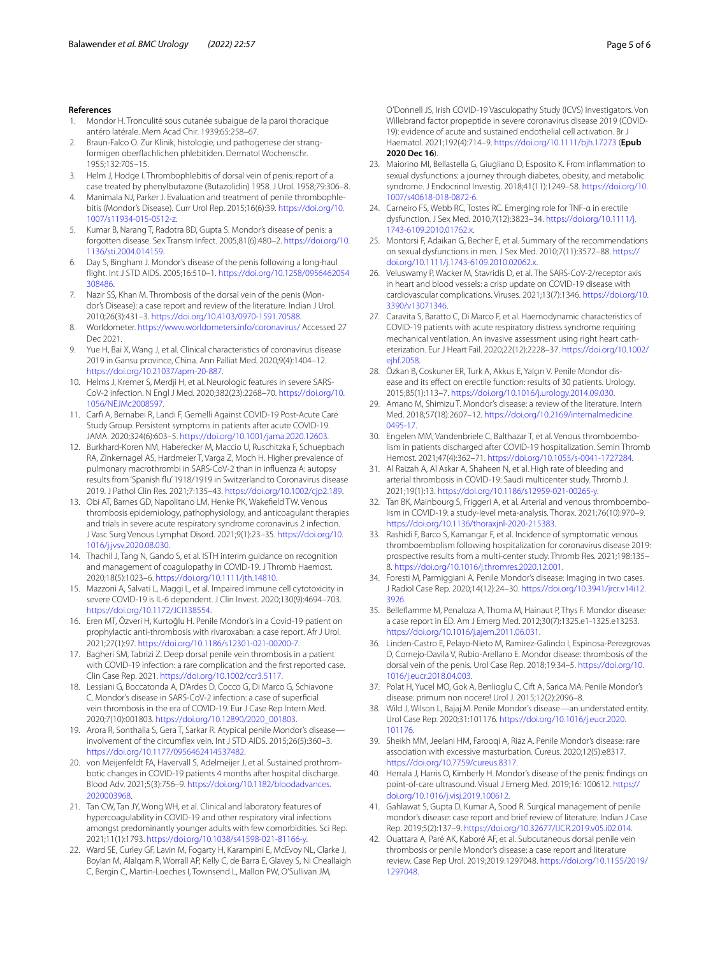#### **References**

- <span id="page-4-0"></span>1. Mondor H. Tronculité sous cutanée subaigue de la paroi thoracique antéro latérale. Mem Acad Chir. 1939;65:258–67.
- <span id="page-4-1"></span>2. Braun-Falco O. Zur Klinik, histologie, und pathogenese der strangformigen oberfachlichen phlebitiden. Dermatol Wochenschr. 1955;132:705–15.
- <span id="page-4-2"></span>3. Helm J, Hodge I. Thrombophlebitis of dorsal vein of penis: report of a case treated by phenylbutazone (Butazolidin) 1958. J Urol. 1958;79:306–8.
- <span id="page-4-3"></span>Manimala NJ, Parker J. Evaluation and treatment of penile thrombophlebitis (Mondor's Disease). Curr Urol Rep. 2015;16(6):39. [https://doi.org/10.](https://doi.org/10.1007/s11934-015-0512-z) [1007/s11934-015-0512-z](https://doi.org/10.1007/s11934-015-0512-z).
- <span id="page-4-4"></span>5. Kumar B, Narang T, Radotra BD, Gupta S. Mondor's disease of penis: a forgotten disease. Sex Transm Infect. 2005;81(6):480–2. [https://doi.org/10.](https://doi.org/10.1136/sti.2004.014159) [1136/sti.2004.014159.](https://doi.org/10.1136/sti.2004.014159)
- <span id="page-4-5"></span>6. Day S, Bingham J. Mondor's disease of the penis following a long-haul fight. Int J STD AIDS. 2005;16:510–1. [https://doi.org/10.1258/0956462054](https://doi.org/10.1258/0956462054308486) [308486.](https://doi.org/10.1258/0956462054308486)
- <span id="page-4-6"></span>7. Nazir SS, Khan M. Thrombosis of the dorsal vein of the penis (Mondor's Disease): a case report and review of the literature. Indian J Urol. 2010;26(3):431–3.<https://doi.org/10.4103/0970-1591.70588>.
- <span id="page-4-7"></span>8. Worldometer.<https://www.worldometers.info/coronavirus/> Accessed 27 Dec 2021.
- <span id="page-4-8"></span>9. Yue H, Bai X, Wang J, et al. Clinical characteristics of coronavirus disease 2019 in Gansu province, China. Ann Palliat Med. 2020;9(4):1404–12. [https://doi.org/10.21037/apm-20-887.](https://doi.org/10.21037/apm-20-887)
- <span id="page-4-9"></span>10. Helms J, Kremer S, Merdji H, et al. Neurologic features in severe SARS-CoV-2 infection. N Engl J Med. 2020;382(23):2268–70. [https://doi.org/10.](https://doi.org/10.1056/NEJMc2008597) [1056/NEJMc2008597.](https://doi.org/10.1056/NEJMc2008597)
- <span id="page-4-10"></span>11. Carfì A, Bernabei R, Landi F, Gemelli Against COVID-19 Post-Acute Care Study Group. Persistent symptoms in patients after acute COVID-19. JAMA. 2020;324(6):603–5. [https://doi.org/10.1001/jama.2020.12603.](https://doi.org/10.1001/jama.2020.12603)
- <span id="page-4-11"></span>12. Burkhard-Koren NM, Haberecker M, Maccio U, Ruschitzka F, Schuepbach RA, Zinkernagel AS, Hardmeier T, Varga Z, Moch H. Higher prevalence of pulmonary macrothrombi in SARS-CoV-2 than in infuenza A: autopsy results from 'Spanish fu' 1918/1919 in Switzerland to Coronavirus disease 2019. J Pathol Clin Res. 2021;7:135–43.<https://doi.org/10.1002/cjp2.189>.
- <span id="page-4-12"></span>13. Obi AT, Barnes GD, Napolitano LM, Henke PK, Wakefeld TW. Venous thrombosis epidemiology, pathophysiology, and anticoagulant therapies and trials in severe acute respiratory syndrome coronavirus 2 infection. J Vasc Surg Venous Lymphat Disord. 2021;9(1):23–35. [https://doi.org/10.](https://doi.org/10.1016/j.jvsv.2020.08.030) [1016/j.jvsv.2020.08.030.](https://doi.org/10.1016/j.jvsv.2020.08.030)
- <span id="page-4-13"></span>14. Thachil J, Tang N, Gando S, et al. ISTH interim guidance on recognition and management of coagulopathy in COVID-19. J Thromb Haemost. 2020;18(5):1023–6. <https://doi.org/10.1111/jth.14810>.
- <span id="page-4-14"></span>15. Mazzoni A, Salvati L, Maggi L, et al. Impaired immune cell cytotoxicity in severe COVID-19 is IL-6 dependent. J Clin Invest. 2020;130(9):4694–703. [https://doi.org/10.1172/JCI138554.](https://doi.org/10.1172/JCI138554)
- <span id="page-4-15"></span>16. Eren MT, Özveri H, Kurtoğlu H. Penile Mondor's in a Covid-19 patient on prophylactic anti-thrombosis with rivaroxaban: a case report. Afr J Urol. 2021;27(1):97. [https://doi.org/10.1186/s12301-021-00200-7.](https://doi.org/10.1186/s12301-021-00200-7)
- <span id="page-4-17"></span>17. Bagheri SM, Tabrizi Z. Deep dorsal penile vein thrombosis in a patient with COVID-19 infection: a rare complication and the frst reported case. Clin Case Rep. 2021. [https://doi.org/10.1002/ccr3.5117.](https://doi.org/10.1002/ccr3.5117)
- <span id="page-4-16"></span>18. Lessiani G, Boccatonda A, D'Ardes D, Cocco G, Di Marco G, Schiavone C. Mondor's disease in SARS-CoV-2 infection: a case of superfcial vein thrombosis in the era of COVID-19. Eur J Case Rep Intern Med. 2020;7(10):001803. [https://doi.org/10.12890/2020\\_001803.](https://doi.org/10.12890/2020_001803)
- <span id="page-4-18"></span>19. Arora R, Sonthalia S, Gera T, Sarkar R. Atypical penile Mondor's disease involvement of the circumfex vein. Int J STD AIDS. 2015;26(5):360–3. <https://doi.org/10.1177/0956462414537482>.
- <span id="page-4-19"></span>20. von Meijenfeldt FA, Havervall S, Adelmeijer J, et al. Sustained prothrombotic changes in COVID-19 patients 4 months after hospital discharge. Blood Adv. 2021;5(3):756–9. [https://doi.org/10.1182/bloodadvances.](https://doi.org/10.1182/bloodadvances.2020003968) [2020003968](https://doi.org/10.1182/bloodadvances.2020003968).
- <span id="page-4-20"></span>21. Tan CW, Tan JY, Wong WH, et al. Clinical and laboratory features of hypercoagulability in COVID-19 and other respiratory viral infections amongst predominantly younger adults with few comorbidities. Sci Rep. 2021;11(1):1793.<https://doi.org/10.1038/s41598-021-81166-y>.
- <span id="page-4-21"></span>22. Ward SE, Curley GF, Lavin M, Fogarty H, Karampini E, McEvoy NL, Clarke J, Boylan M, Alalqam R, Worrall AP, Kelly C, de Barra E, Glavey S, Ni Cheallaigh C, Bergin C, Martin-Loeches I, Townsend L, Mallon PW, O'Sullivan JM,

O'Donnell JS, Irish COVID-19 Vasculopathy Study (ICVS) Investigators. Von Willebrand factor propeptide in severe coronavirus disease 2019 (COVID-19): evidence of acute and sustained endothelial cell activation. Br J Haematol. 2021;192(4):714–9. <https://doi.org/10.1111/bjh.17273> (**Epub 2020 Dec 16**).

- <span id="page-4-22"></span>23. Maiorino MI, Bellastella G, Giugliano D, Esposito K. From infammation to sexual dysfunctions: a journey through diabetes, obesity, and metabolic syndrome. J Endocrinol Investig. 2018;41(11):1249–58. [https://doi.org/10.](https://doi.org/10.1007/s40618-018-0872-6) [1007/s40618-018-0872-6](https://doi.org/10.1007/s40618-018-0872-6).
- 24. Carneiro FS, Webb RC, Tostes RC. Emerging role for TNF-α in erectile dysfunction. J Sex Med. 2010;7(12):3823–34. [https://doi.org/10.1111/j.](https://doi.org/10.1111/j.1743-6109.2010.01762.x) [1743-6109.2010.01762.x](https://doi.org/10.1111/j.1743-6109.2010.01762.x).
- 25. Montorsi F, Adaikan G, Becher E, et al. Summary of the recommendations on sexual dysfunctions in men. J Sex Med. 2010;7(11):3572–88. [https://](https://doi.org/10.1111/j.1743-6109.2010.02062.x) [doi.org/10.1111/j.1743-6109.2010.02062.x.](https://doi.org/10.1111/j.1743-6109.2010.02062.x)
- <span id="page-4-23"></span>26. Veluswamy P, Wacker M, Stavridis D, et al. The SARS-CoV-2/receptor axis in heart and blood vessels: a crisp update on COVID-19 disease with cardiovascular complications. Viruses. 2021;13(7):1346. [https://doi.org/10.](https://doi.org/10.3390/v13071346) [3390/v13071346.](https://doi.org/10.3390/v13071346)
- <span id="page-4-24"></span>27. Caravita S, Baratto C, Di Marco F, et al. Haemodynamic characteristics of COVID-19 patients with acute respiratory distress syndrome requiring mechanical ventilation. An invasive assessment using right heart catheterization. Eur J Heart Fail. 2020;22(12):2228–37. [https://doi.org/10.1002/](https://doi.org/10.1002/ejhf.2058) [ejhf.2058.](https://doi.org/10.1002/ejhf.2058)
- <span id="page-4-25"></span>28. Özkan B, Coskuner ER, Turk A, Akkus E, Yalçın V. Penile Mondor disease and its efect on erectile function: results of 30 patients. Urology. 2015;85(1):113–7. [https://doi.org/10.1016/j.urology.2014.09.030.](https://doi.org/10.1016/j.urology.2014.09.030)
- <span id="page-4-26"></span>29. Amano M, Shimizu T. Mondor's disease: a review of the literature. Intern Med. 2018;57(18):2607–12. [https://doi.org/10.2169/internalmedicine.](https://doi.org/10.2169/internalmedicine.0495-17) [0495-17.](https://doi.org/10.2169/internalmedicine.0495-17)
- <span id="page-4-27"></span>30. Engelen MM, Vandenbriele C, Balthazar T, et al. Venous thromboembolism in patients discharged after COVID-19 hospitalization. Semin Thromb Hemost. 2021;47(4):362–71. [https://doi.org/10.1055/s-0041-1727284.](https://doi.org/10.1055/s-0041-1727284)
- 31. Al Raizah A, Al Askar A, Shaheen N, et al. High rate of bleeding and arterial thrombosis in COVID-19: Saudi multicenter study. Thromb J. 2021;19(1):13.<https://doi.org/10.1186/s12959-021-00265-y>.
- 32. Tan BK, Mainbourg S, Friggeri A, et al. Arterial and venous thromboembolism in COVID-19: a study-level meta-analysis. Thorax. 2021;76(10):970–9. <https://doi.org/10.1136/thoraxjnl-2020-215383>.
- <span id="page-4-28"></span>33. Rashidi F, Barco S, Kamangar F, et al. Incidence of symptomatic venous thromboembolism following hospitalization for coronavirus disease 2019: prospective results from a multi-center study. Thromb Res. 2021;198:135– 8. [https://doi.org/10.1016/j.thromres.2020.12.001.](https://doi.org/10.1016/j.thromres.2020.12.001)
- <span id="page-4-29"></span>34. Foresti M, Parmiggiani A. Penile Mondor's disease: Imaging in two cases. J Radiol Case Rep. 2020;14(12):24–30. [https://doi.org/10.3941/jrcr.v14i12.](https://doi.org/10.3941/jrcr.v14i12.3926) [3926](https://doi.org/10.3941/jrcr.v14i12.3926).
- <span id="page-4-30"></span>35. Bellefamme M, Penaloza A, Thoma M, Hainaut P, Thys F. Mondor disease: a case report in ED. Am J Emerg Med. 2012;30(7):1325.e1-1325.e13253. <https://doi.org/10.1016/j.ajem.2011.06.031>.
- <span id="page-4-31"></span>36. Linden-Castro E, Pelayo-Nieto M, Ramirez-Galindo I, Espinosa-Perezgrovas D, Cornejo-Davila V, Rubio-Arellano E. Mondor disease: thrombosis of the dorsal vein of the penis. Urol Case Rep. 2018;19:34–5. [https://doi.org/10.](https://doi.org/10.1016/j.eucr.2018.04.003) [1016/j.eucr.2018.04.003.](https://doi.org/10.1016/j.eucr.2018.04.003)
- <span id="page-4-32"></span>37. Polat H, Yucel MO, Gok A, Benlioglu C, Cift A, Sarica MA. Penile Mondor's disease: primum non nocere! Urol J. 2015;12(2):2096–8.
- <span id="page-4-33"></span>38. Wild J, Wilson L, Bajaj M. Penile Mondor's disease—an understated entity. Urol Case Rep. 2020;31:101176. [https://doi.org/10.1016/j.eucr.2020.](https://doi.org/10.1016/j.eucr.2020.101176) [101176.](https://doi.org/10.1016/j.eucr.2020.101176)
- <span id="page-4-34"></span>39. Sheikh MM, Jeelani HM, Farooqi A, Riaz A. Penile Mondor's disease: rare association with excessive masturbation. Cureus. 2020;12(5):e8317. <https://doi.org/10.7759/cureus.8317>.
- <span id="page-4-35"></span>40. Herrala J, Harris O, Kimberly H. Mondor's disease of the penis: fndings on point-of-care ultrasound. Visual J Emerg Med. 2019;16: 100612. [https://](https://doi.org/10.1016/j.visj.2019.100612) [doi.org/10.1016/j.visj.2019.100612.](https://doi.org/10.1016/j.visj.2019.100612)
- <span id="page-4-36"></span>41. Gahlawat S, Gupta D, Kumar A, Sood R. Surgical management of penile mondor's disease: case report and brief review of literature. Indian J Case Rep. 2019;5(2):137–9.<https://doi.org/10.32677/IJCR.2019.v05.i02.014>.
- 42. Ouattara A, Paré AK, Kaboré AF, et al. Subcutaneous dorsal penile vein thrombosis or penile Mondor's disease: a case report and literature review. Case Rep Urol. 2019;2019:1297048. [https://doi.org/10.1155/2019/](https://doi.org/10.1155/2019/1297048) [1297048](https://doi.org/10.1155/2019/1297048).